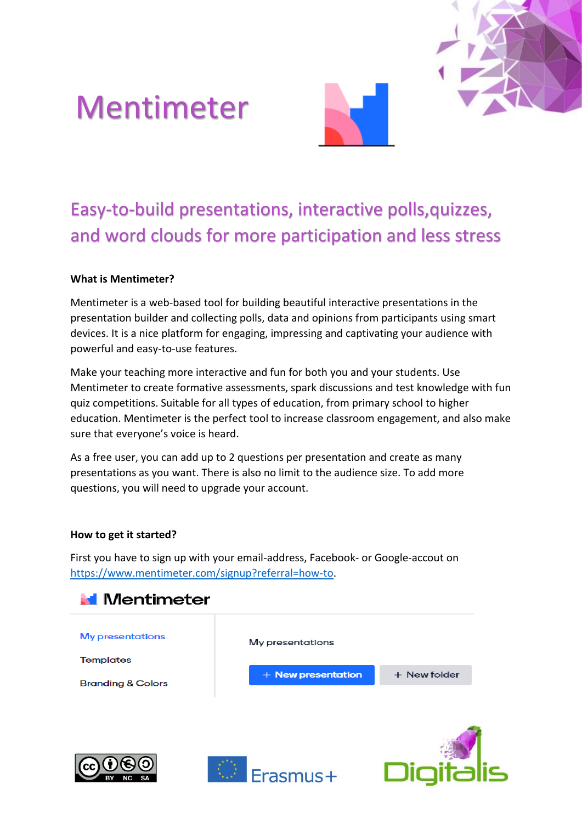# Mentimeter



# Easy-to-build presentations, interactive polls,quizzes, and word clouds for more participation and less stress

### **What is Mentimeter?**

Mentimeter is a web-based tool for building beautiful interactive presentations in the presentation builder and collecting polls, data and opinions from participants using smart devices. It is a nice platform for engaging, impressing and captivating your audience with powerful and easy-to-use features.

Make your teaching more interactive and fun for both you and your students. Use Mentimeter to create formative assessments, spark discussions and test knowledge with fun quiz competitions. Suitable for all types of education, from primary school to higher education. Mentimeter is the perfect tool to increase classroom engagement, and also make sure that everyone's voice is heard.

As a free user, you can add up to 2 questions per presentation and create as many presentations as you want. There is also no limit to the audience size. To add more questions, you will need to upgrade your account.

#### **How to get it started?**

First you have to sign up with your email-address, Facebook- or Google-accout on [https://www.mentimeter.com/signup?referral=how-to.](https://www.mentimeter.com/signup?referral=how-to)

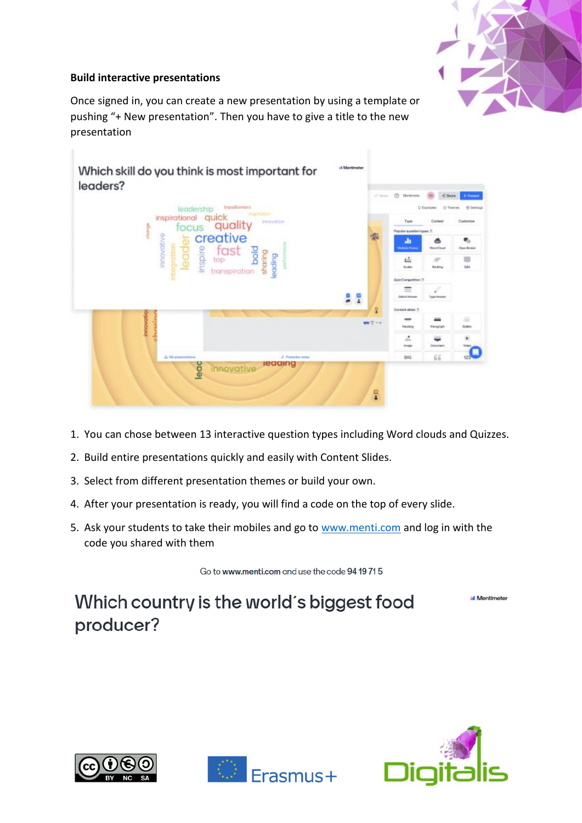

## **Build interactive presentations**

Once signed in, you can create a new presentation by using a template or pushing "+ New presentation". Then you have to give a title to the new presentation



- 1. You can chose between 13 interactive question types including Word clouds and Quizzes.
- 2. Build entire presentations quickly and easily with Content Slides.
- 3. Select from different presentation themes or build your own.
- 4. After your presentation is ready, you will find a code on the top of every slide.
- 5. Ask your students to take their mobiles and go to [www.menti.com](http://www.menti.com/) and log in with the code you shared with them

Go to www.menti.com and use the code 94 19 71 5

**Mentimeter** 

Which country is the world's biggest food producer?